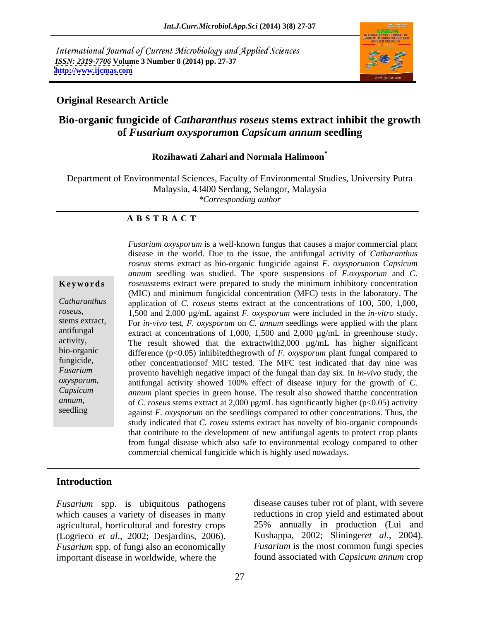International Journal of Current Microbiology and Applied Sciences *ISSN: 2319-7706* **Volume 3 Number 8 (2014) pp. 27-37 <http://www.ijcmas.com>**



### **Original Research Article**

### **Bio-organic fungicide of** *Catharanthus roseus* **stems extract inhibit the growth of** *Fusarium oxysporum***on** *Capsicum annum* **seedling**

### **Rozihawati Zahari and Normala Halimoon\***

Department of Environmental Sciences, Faculty of Environmental Studies, University Putra Malaysia, 43400 Serdang, Selangor, Malaysia *\*Corresponding author* 

#### **A B S T R A C T**

**Ke ywo rds** *roseus*stems extract were prepared to study the minimum inhibitory concentration Catharanthus application of *C. roseus* stems extract at the concentrations of 100, 500, 1,000, *roseus,* 1,500 and 2,000 µg/mL against *F. oxysporum* were included in the *in-vitro* study. stems extract, For *in-vivo* test, *F. oxysporum* on *C. annum* seedlings were applied with the plant antifungal extract at concentrations of 1,000, 1,500 and 2,000 µg/mL in greenhouse study. activity, The result showed that the extractwith2,000  $\mu$ g/mL has higher significant bio-organic difference (p<0.05) inhibitedthegrowth of *F. oxysporum* plant fungal compared to fungicide, other concentrations of MIC tested. The MFC test indicated that day nine was *Fusarium* provento havehigh negative impact of the fungal than day six. In *in-vivo* study, the *oxysporum,* antifungal activity showed 100% effect of disease injury for the growth of *C. Capsicum annum* plant species in green house. The result also showed thatthe concentration *annum,* of *C. roseus* stems extract at 2,000 µg/mL has significantly higher (p<0.05) activity seedling against *F. oxysporum* on the seedlings compared to other concentrations. Thus, the *Fusarium oxysporum* is a well-known fungus that causes a major commercial plant disease in the world. Due to the issue, the antifungal activity of *Catharanthus roseus* stems extract as bio-organic fungicide against *F. oxysporum*on *Capsicum annum* seedling was studied. The spore suspensions of *F.oxysporum* and *C.*  (MIC) and minimum fungicidal concentration (MFC) tests in the laboratory. The study indicated that *C. roseu s*stems extract has novelty of bio-organic compounds that contribute to the development of new antifungal agents to protect crop plants from fungal disease which also safe to environmental ecology compared to other commercial chemical fungicide which is highly used nowadays.

#### **Introduction**

*Fusarium* spp. is ubiquitous pathogens which causes a variety of diseases in many agricultural, horticultural and forestry crops (Logrieco *et al*., 2002; Desjardins, 2006). *Fusarium* spp. of fungi also an economically important disease in worldwide, where the

disease causes tuber rot of plant, with severe reductions in crop yield and estimated about 25% annually in production (Lui and Kushappa, 2002; Slininger*et al*., 2004). *Fusarium* is the most common fungi species found associated with *Capsicum annum* crop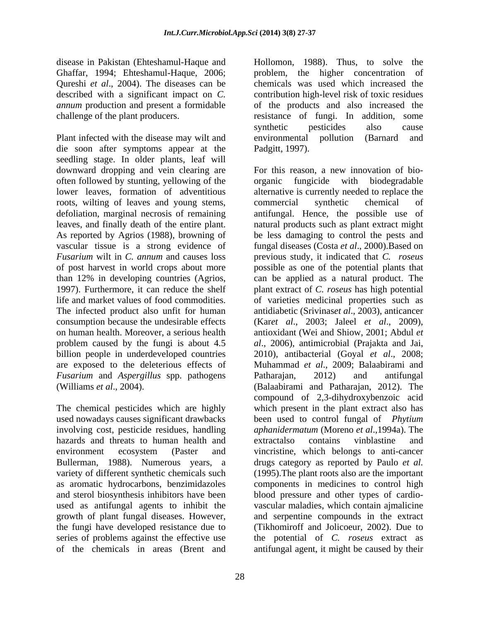Ghaffar, 1994; Ehteshamul-Haque, 2006; Qureshi *et al.*, 2004). The diseases can be

Plant infected with the disease may wilt and environmental pollution (Barnard and die soon after symptoms appear at the seedling stage. In older plants, leaf will downward dropping and vein clearing are often followed by stunting, yellowing of the roots, wilting of leaves and young stems, commercial synthetic chemical of *Fusarium* and *Aspergillus* spp. pathogens Patharajan, 2012) and antifungal

involving cost, pesticide residues, handling hazards and threats to human health and extractalso contains vinblastine and Bullerman, 1988). Numerous years, a growth of plant fungal diseases. However,

disease in Pakistan (Ehteshamul-Haque and Hollomon, 1988). Thus, to solve the described with a significant impact on *C*. contribution high-level risk of toxic residues *annum* production and present a formidable of the products and also increased the challenge of the plant producers. resistance of fungi. In addition, some problem, the higher concentration of chemicals was used which increased the synthetic pesticides also cause environmental pollution (Barnard and Padgitt, 1997).

lower leaves, formation of adventitious alternative is currently needed to replace the defoliation, marginal necrosis of remaining antifungal. Hence, the possible use of leaves, and finally death of the entire plant. natural products such as plant extract might As reported by Agrios (1988), browning of be less damaging to control the pests and vascular tissue is a strong evidence of fungal diseases (Costa *et al*., 2000).Based on *Fusarium* wilt in *C. annum* and causes loss previous study, it indicated that *C. roseus* of post harvest in world crops about more possible as one of the potential plants that than 12% in developing countries (Agrios, can be applied as a natural product. The 1997). Furthermore, it can reduce the shelf plant extract of *C. roseus* has high potential life and market values of food commodities. of varieties medicinal properties such as The infected product also unfit for human antidiabetic (Srivinas*et al*., 2003), anticancer consumption because the undesirable effects (Kar*et al*., 2003; Jaleel *et al*., 2009), on human health. Moreover, a serious health antioxidant (Wei and Shiow, 2001; Abdul *et*  problem caused by the fungi is about 4.5 *al*., 2006), antimicrobial (Prajakta and Jai, billion people in underdeveloped countries 2010), antibacterial (Goyal *et al*., 2008; are exposed to the deleterious effects of Muhammad *et al*., 2009; Balaabirami and (Williams *et al*., 2004). (Balaabirami and Patharajan, 2012). The The chemical pesticides which are highly which present in the plant extract also has used nowadays causes significant drawbacks been used to control fungal of *Phytium* environment ecosystem (Paster and vincristine, which belongs to anti-cancer variety of different synthetic chemicals such (1995).The plant roots also are the important as aromatic hydrocarbons, benzimidazoles components in medicines to control high and sterol biosynthesis inhibitors have been blood pressure and other types of cardio used as antifungal agents to inhibit the vascular maladies, which contain ajmalicine the fungi have developed resistance due to (Tikhomiroff and Jolicoeur, 2002). Due to series of problems against the effective use the potential of *C. roseus* extract as of the chemicals in areas (Brent and antifungal agent, it might be caused by theirFor this reason, a new innovation of bio fungicide with biodegradable commercial synthetic chemical of Patharajan, 2012) and antifungal compound of 2,3-dihydroxybenzoic acid *aphanidermatum* (Moreno *et al*.,1994a). The extractalso contains vinblastine and drugs category as reported by Paulo *et al.* and serpentine compounds in the extract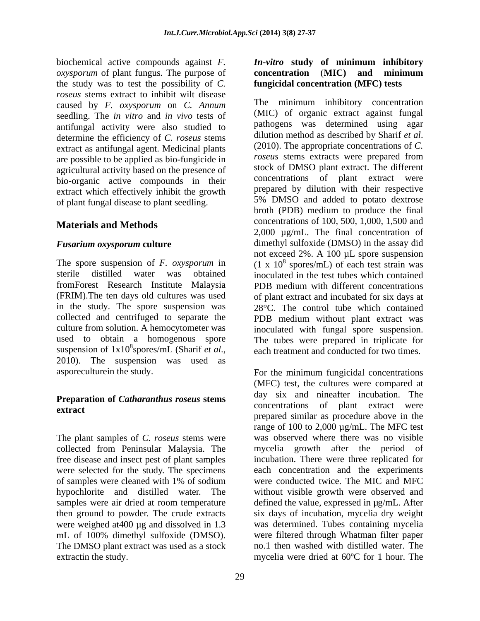biochemical active compounds against *F. oxysporum* of plant fungus. The purpose of **concentration** (MIC) and minimum the study was to test the possibility of *C. roseus* stems extract to inhibit wilt disease caused by *F. oxysporum* on *C. Annum* seedling. The *in vitro* and *in vivo* tests of antifungal activity were also studied to antifungular pathogens was determined using agar<br>dilution method as described by Sharif *et al.* determine the efficiency of *C. roseus* stems<br>extract as antifunoal agent. Medicinal plants (2010). The appropriate concentrations of *C.* extract as antifungal agent. Medicinal plants are possible to be applied as bio-fungicide in agricultural activity based on the presence of bio-organic active compounds in their extract which effectively inhibit the growth of plant fungal disease to plant seedling.

## **Materials and Methods**

fromForest Research Institute Malaysia in the study. The spore suspension was culture from solution. A hemocytometer was used to obtain a homogenous spore suspension of  $1x10<sup>8</sup>$  spores/mL (Sharif et al., suspension of  $1 \times 10^8$  spores/mL (Sharif *et al.*, each treatment and conducted for two times.<br>2010). The suspension was used as

## **Preparation of** *Catharanthus roseus* **stems**

The plant samples of *C. roseus* stems were collected from Peninsular Malaysia. The of samples were cleaned with 1% of sodium samples were air dried at room temperature The DMSO plant extract was used as a stock extractin the study.

### *In-vitro* **study of minimum inhibitory concentration** (**MIC) and minimum fungicidal concentration (MFC) tests**

*Fusarium oxysporum* **culture** The spore suspension of *F. oxysporum* in  $(1 \times 10^8 \text{ spores/mL})$  of each test strain was sterile distilled water was obtained inoculated in the test tubes which contained (FRIM).The ten days old cultures was used of plant extract and incubated for six days at collected and centrifuged to separate the PDB medium without plant extract was  $\frac{8}{1}$  each treatment and conducted for two times. The minimum inhibitory concentration (MIC) of organic extract against fungal pathogens was determined using agar dilution method as described by Sharif *et al*. (2010). The appropriate concentrations of *C. roseus* stems extracts were prepared from stock of DMSO plant extract. The different concentrations of plant extract were prepared by dilution with their respective 5% DMSO and added to potato dextrose broth (PDB) medium to produce the final concentrations of 100, 500, 1,000, 1,500 and 2,000 µg/mL. The final concentration of dimethyl sulfoxide (DMSO) in the assay did not exceed 2%. A 100 µL spore suspension PDB medium with different concentrations 28°C. The control tube which contained inoculated with fungal spore suspension. The tubes were prepared in triplicate for

asporeculturein the study. For the minimum fungicidal concentrations **extract** extract were concentrations of plant extract were extract. free disease and insect pest of plant samples incubation. There were three replicated for were selected for the study. The specimens each concentration and the experiments hypochlorite and distilled water. The without visible growth were observed and then ground to powder. The crude extracts six days of incubation, mycelia dry weight were weighed at400 µg and dissolved in 1.3 was determined. Tubes containing mycelia mL of 100% dimethyl sulfoxide (DMSO). were filtered through Whatman filter paper extractin the study. mycelia were dried at 60ºC for 1 hour. The(MFC) test, the cultures were compared at day six and nineafter incubation. The concentrations of plant extract were range of 100 to 2,000 µg/mL. The MFC test was observed where there was no visible mycelia growth after the period of were conducted twice. The MIC and MFC defined the value, expressed in µg/mL. After no.1 then washed with distilled water. The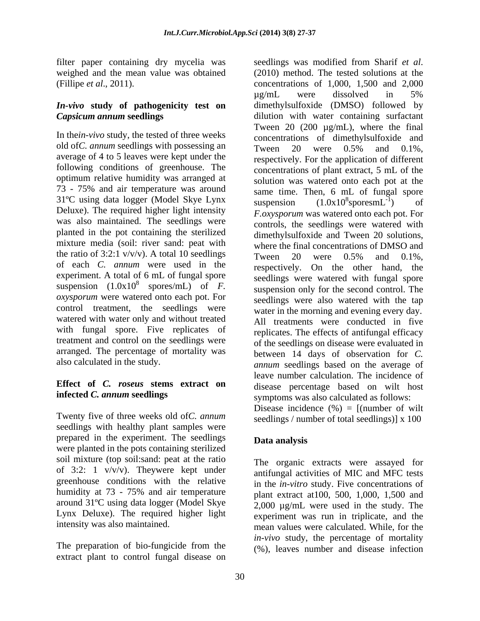filter paper containing dry mycelia was seedlings was modified from Sharif et al. weighed and the mean value was obtained (2010) method. The tested solutions at the

# *In-vivo* **study of pathogenicity test on**

In the*in-vivo* study, the tested of three weeks old of*C. annum* seedlings with possessing an Tween 20 were 0.5% and 0.1%. average of 4 to 5 leaves were kept under the following conditions of greenhouse. The optimum relative humidity was arranged at 73 - 75% and air temperature was around  $31^{\circ}$ C using data logger (Model Skye Lynx suspension  $(1.0x10^{8} \text{sporesmL}^{-1})$  of Deluxe). The required higher light intensity was also maintained. The seedlings were planted in the pot containing the sterilized mixture media (soil: river sand: peat with the ratio of 3:2:1 v/v/v). A total 10 seedlings Tween 20 were  $0.5\%$  and  $0.1\%$ . of each *C. annum* were used in the experiment. A total of 6 mL of fungal spore *oxysporum* were watered onto each pot. For control treatment, the seedlings were watered with water only and without treated with fungal spore. Five replicates of treatment and control on the seedlings were arranged. The percentage of mortality was

# **Effect of** *C. roseus* **stems extract on**

Twenty five of three weeks old of*C. annum* seedlings with healthy plant samples were prepared in the experiment. The seedlings were planted in the pots containing sterilized soil mixture (top soil:sand: peat at the ratio of 3:2: 1 v/v/v). Theywere kept under greenhouse conditions with the relative humidity at 73 - 75% and air temperature around 31ºC using data logger (Model Skye Lynx Deluxe). The required higher light

The preparation of bio-fungicide from the extract plant to control fungal disease on

(Fillipe *et al*., 2011). concentrations of 1,000, 1,500 and 2,000 *Capsicum annum* **seedlings** dilution with water containing surfactant suspension  $(1.0x10^8 \text{ spores/mL})$  of F. suspension only for the second control The spores/mL) of *F*. suspension only for the second control. The also calculated in the study. *annum* seedlings based on the average of **infected** *C. annum* **seedlings** seedlings was modified from Sharif*et al*. (2010) method. The tested solutions at the µg/mL were dissolved in 5% dimethylsulfoxide (DMSO) followed by Tween 20  $(200 \mu g/mL)$ , where the final concentrations of dimethylsulfoxide and Tween 20 were 0.5% and 0.1%, respectively. For the application of different concentrations of plant extract, 5 mL of the solution was watered onto each pot at the same time. Then, 6 mL of fungal spore suspension  $(1.0x10^8 \text{sporesm}L^{-1})$  of  $8<sub>conform</sub> I^{-1}$  of sporesm $L^{-1}$ ) of ) of *F.oxysporum* was watered onto each pot. For controls, the seedlings were watered with dimethylsulfoxide and Tween 20 solutions, where the final concentrations of DMSO and Tween 20 were 0.5% and 0.1%, respectively. On the other hand, the seedlings were watered with fungal spore seedlings were also watered with the tap water in the morning and evening every day. All treatments were conducted in five replicates. The effects of antifungal efficacy of the seedlings on disease were evaluated in between 14 days of observation for *C.*  leave number calculation. The incidence of disease percentage based on wilt host symptoms was also calculated as follows: Disease incidence  $(\%) = [$ (number of wilt seedlings / number of total seedlings)] x 100

### **Data analysis**

intensity was also maintained. mean values were calculated. While, for the The organic extracts were assayed for antifungal activities of MIC and MFC tests in the *in-vitro* study. Five concentrations of plant extract at100, 500, 1,000, 1,500 and 2,000 µg/mL were used in the study. The experiment was run in triplicate, and the *in-vivo* study, the percentage of mortality (%), leaves number and disease infection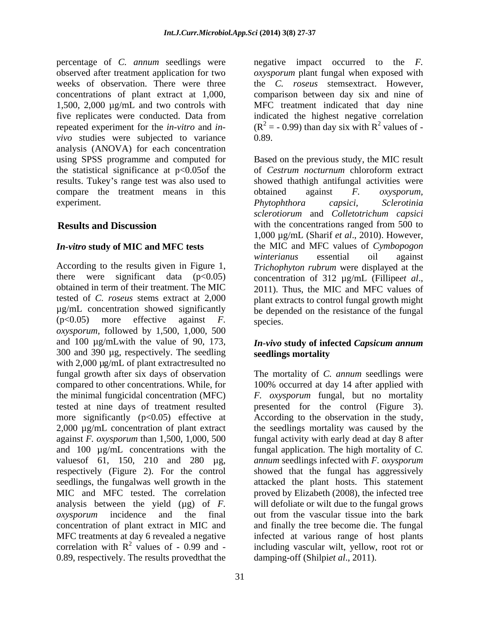percentage of *C. annum* seedlings were observed after treatment application for two *oxysporum* plant fungal when exposed with weeks of observation. There were three the *C. roseus* stems extract. However, concentrations of plant extract at 1,000, comparison between day six and nine of 1,500, 2,000 µg/mL and two controls with five replicates were conducted. Data from indicated the highest negative correlation repeated experiment for the *in-vitro* and *in*-  $(R^2 = -0.99)$  than day six with  $R^2$  values of *vivo* studies were subjected to variance 0.89. analysis (ANOVA) for each concentration the statistical significance at  $p<0.05$  of the of Cestrum nocturnum chloroform extract compare the treatment means in this  $\omega$  obtained against  $\omega$  *E*. *oxysporum*, experiment. Phytophthora capsici, Sclerotinia

According to the results given in Figure 1, *Trichophyton rubrum* were displayed at the there were significant data  $(p<0.05)$  concentration of 312  $\mu$ g/mL (Fillipeet al., obtained in term of their treatment. The MIC 2011). Thus, the MIC and MFC values of tested of *C. roseus* stems extract at 2,000 plant extracts to control fungal growth might µg/mL concentration showed significantly be depended on the resistance of the fungal (p<0.05) more effective against *F. oxysporum,* followed by 1,500, 1,000, 500 and 100 µg/mLwith the value of 90, 173, *In-vivo* **study of infected** *Capsicum annum* 300 and 390 µg, respectively. The seedling seedlings mortality with 2,000  $\mu$ g/mL of plant extractresulted no fungal growth after six days of observation The mortality of *C. annum* seedlings were compared to other concentrations. While, for 100% occurred at day 14 after applied with the minimal fungicidal concentration (MFC) *F. oxysporum* fungal, but no mortality tested at nine days of treatment resulted presented for the control (Figure 3). more significantly  $(p<0.05)$  effective at 2,000 µg/mL concentration of plant extract the seedlings mortality was caused by the against *F. oxysporum* than 1,500, 1,000, 500 fungal activity with early dead at day 8 after and 100  $\mu$ g/mL concentrations with the fungal application. The high mortality of *C*. valuesof 61, 150, 210 and 280 µg, respectively (Figure 2). For the control seedlings, the fungalwas well growth in the attacked the plant hosts. This statement MIC and MFC tested. The correlation proved by Elizabeth (2008), the infected tree analysis between the yield (µg) of *F. oxysporum* incidence and the final out from the vascular tissue into the bark concentration of plant extract in MIC and and finally the tree become die. The fungal MFC treatments at day 6 revealed a negative infected at various range of host plants correlation with  $R^2$  values of - 0.99 and - including vascular wilt, yellow, root rot or 0.89, respectively. The results provedthat the

31

negative impact occurred to the *F.*  MFC treatment indicated that day nine values of - 0.89.

using SPSS programme and computed for Based on the previous study, theMIC result results. Tukey's range test was also used to showed thathigh antifungal activities were **Results and Discussion** with the concentrations ranged from 500 to *In-vitro* **study of MIC and MFC tests** the MIC and MFC values of *Cymbopogon* of *Cestrum nocturnum* chloroform extract obtained against *F. oxysporum, Phytophthora capsici, Sclerotinia sclerotiorum* and *Colletotrichum capsici* 1,000 µg/mL (Sharif *et al*., 2010). However, *winterianus* essential oil against concentration of <sup>312</sup> µg/mL (Fillipe*et al*., 2011). Thus, the MIC and MFC values of species.

# **seedlings mortality**

According to the observation in the study, *annum* seedlings infected with *F. oxysporum* showed that the fungal has aggressively will defoliate or wilt due to the fungal grows damping-off (Shilpi*et al*., 2011).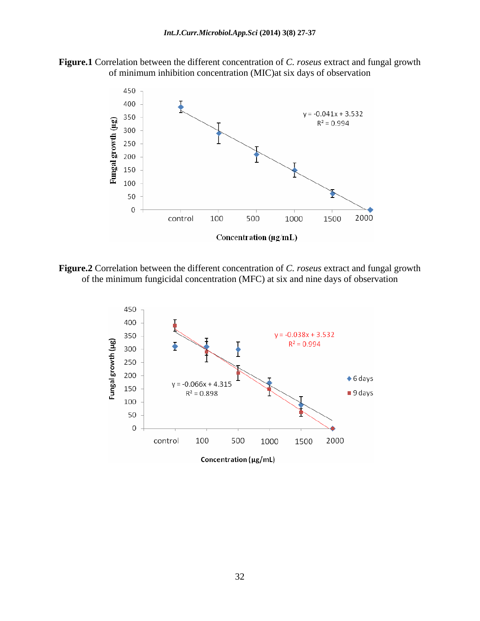



**Figure.2** Correlation between the different concentration of *C. roseus* extract and fungal growth of the minimum fungicidal concentration (MFC) at six and nine days of observation

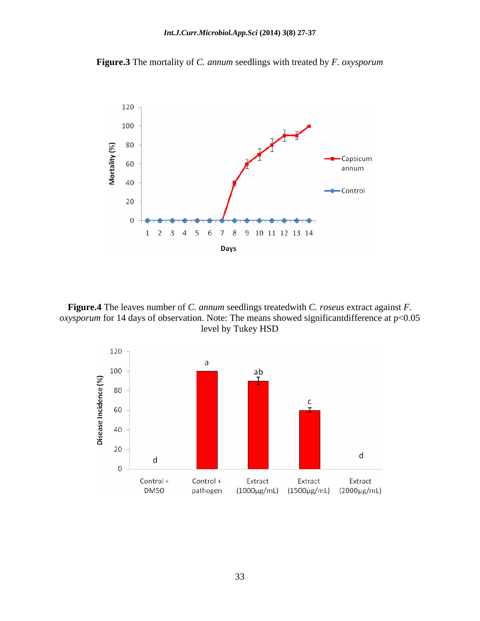

**Figure.3** The mortality of *C. annum* seedlings with treated by *F. oxysporum*

**Figure.4** The leaves number of *C. annum* seedlings treatedwith *C. roseus* extract against *F. oxysporum* for 14 days of observation. Note: The means showed significantdifference at p<0.05 level by Tukey HSD

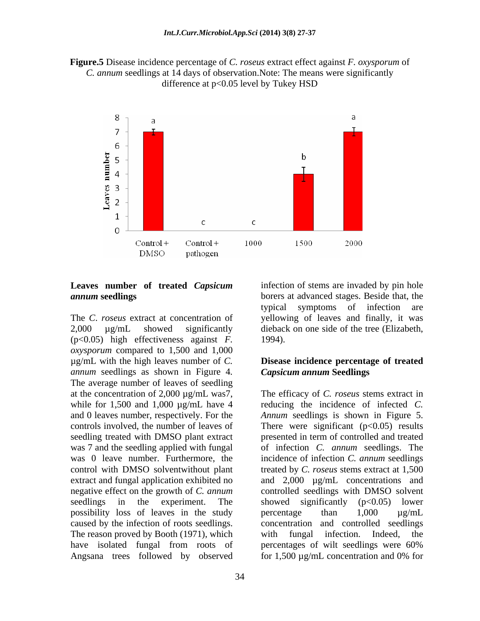**Figure.5** Disease incidence percentage of *C. roseus* extract effect against *F. oxysporum* of *C. annum* seedlings at 14 days of observation.Note: The means were significantly difference at p<0.05 level by Tukey HSD



## **Leaves number of treated** *Capsicum*

The *C*. *roseus* extract at concentration of yellowing of leaves and finally, it was 2,000 µg/mL showed significantly dieback on one side of the tree(Elizabeth, (p<0.05) high effectiveness against *F. oxysporum* compared to 1,500 and 1,000 µg/mL with the high leaves number of *C.*  **Disease incidence percentage of treated** *annum* seedlings as shown in Figure 4*.* The average number of leaves of seedling while for  $1,500$  and  $1,000 \mu$ g/mL have 4 possibility loss of leaves in the study percentage than  $1,000 \text{ µg/mL}$ caused by the infection of roots seedlings. The reason proved by Booth (1971), which with fungal infection. Indeed, the have isolated fungal from roots of percentages of wilt seedlings were 60% Angsana trees followed by observed for 1,500  $\mu$ g/mL concentration and 0% for

*annum* **seedlings** borers at advanced stages. Beside that, the infection of stems are invaded by pin hole typical symptoms of infection are 1994).

# *Capsicum annum* **Seedlings**

at the concentration of 2,000 µg/mL was7, The efficacy of *C. roseus* stems extract in and 0 leaves number, respectively. For the *Annum* seedlings is shown in Figure 5. controls involved, the number of leaves of There were significant  $(p<0.05)$  results seedling treated with DMSO plant extract presented in term of controlled and treated was 7 and the seedling applied with fungal of infection *C. annum* seedlings.The was 0 leave number. Furthermore, the incidence of infection *C. annum* seedlings control with DMSO solventwithout plant treated by *C. roseus* stems extract at 1,500 extract and fungal application exhibited no  $\qquad$  and  $\qquad2,000$   $\mu$ g/mL concentrations and negative effect on the growth of *C. annum* controlled seedlings with DMSO solvent seedlings in the experiment. The showed significantly (p<0.05) lower reducing the incidence of infected *C.*  showed significantly (p<0.05) lower percentage than 1,000 µg/mL concentration and controlled seedlings with fungal infection. Indeed, the percentages of wilt seedlings were 60% for 1,500 µg/mL concentration and 0% for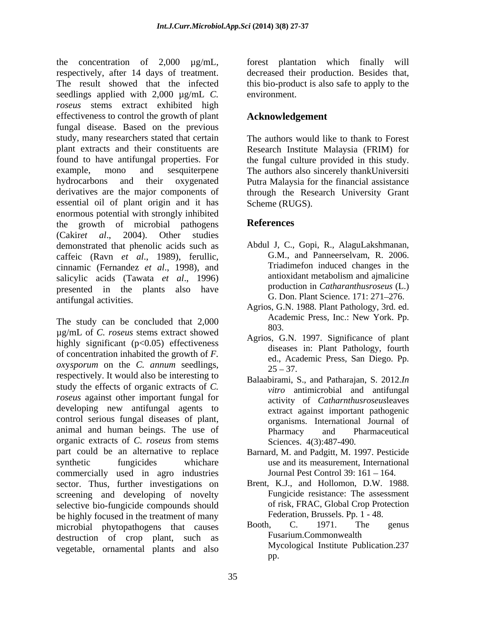the concentration of 2,000 µg/mL, forest plantation which finally will respectively, after 14 days of treatment. decreased their production. Besides that, The result showed that the infected this bio-product is also safe to apply to the seedlings applied with 2,000  $\mu$ g/mL *C*. environment. *roseus* stems extract exhibited high effectiveness to control the growth of plant fungal disease. Based on the previous study, many researchers stated that certain The authors would like to thank to Forest plant extracts and their constituents are Research Institute Malaysia (FRIM) for found to have antifungal properties. For the fungal culture provided in this study. example, mono and sesquiterpene The authors also sincerely thankUniversiti hydrocarbons and their oxygenated Putra Malaysia for the financial assistance derivatives are the major components of through the Research University Grant essential oil of plant origin and it has enormous potential with strongly inhibited the growth of microbial pathogens References (Cakir*et al*., 2004). Other studies demonstrated that phenolic acids such as caffeic (Ravn *et al*., 1989), ferullic, cinnamic (Fernandez *et al.*, 1998), and<br>salicylic acids (Tawata *et al.* 1996) antioxidant metabolism and ajmalicine salicylic acids (Tawata *et al*., 1996) presented in the plants also have antifungal activities.

The study can be concluded that  $2,000$  Academy  $803$ . µg/mL of *C. roseus* stems extract showed highly significant  $(p<0.05)$  effectiveness of concentration inhabited the growth of *F. ox*y*sporum* on the *C. annum* seedlings, respectively. It would also be interesting to study the effects of organic extracts of *C. roseus* against other important fungal for developing new antifungal agents to control serious fungal diseases of plant, animal and human beings. The use of Pharmacy and Pharmaceutical organic extracts of *C. roseus* from stems part could be an alternative to replace Barnard, M. and Padgitt, M. 1997. Pesticide synthetic fungicides whichare use and its measurement, International commercially used in agro industries sector. Thus, further investigations on screening and developing of novelty selective bio-fungicide compounds should be highly focused in the treatment of many<br>microbial phytopathogens that causes Booth, C. 1971. The genus microbial phytopathogens that causes destruction of crop plant, such as vegetable, ornamental plants and also

environment.

### **Acknowledgement**

Scheme (RUGS).

## **References**

- Abdul J, C., Gopi, R., AlaguLakshmanan, G.M., and Panneerselvam, R. 2006. Triadimefon induced changes in the antioxidant metabolism and ajmalicine production in *Catharanthusroseus* (L.) G. Don. Plant Science. 171: 271–276.
- Agrios, G.N. 1988. Plant Pathology, 3rd. ed. Academic Press, Inc.: New York. Pp. 803.
- Agrios, G.N. 1997. Significance of plant diseases in: Plant Pathology, fourth ed., Academic Press, San Diego. Pp.  $25 - 37.$
- Balaabirami, S., and Patharajan, S. 2012.*In vitro* antimicrobial and antifungal activity of *Catharnthusroseus*leaves extract against important pathogenic organisms. International Journal of Pharmacy and Pharmaceutical Sciences. 4(3):487-490*.*
- Journal Pest Control 39: 161 164.
- Brent, K.J., and Hollomon, D.W. 1988. Fungicide resistance: The assessment of risk, FRAC, Global Crop Protection Federation, Brussels. Pp. 1 - 48.
- Booth, C. 1971. The genus Fusarium.Commonwealth Mycological Institute Publication.237 pp.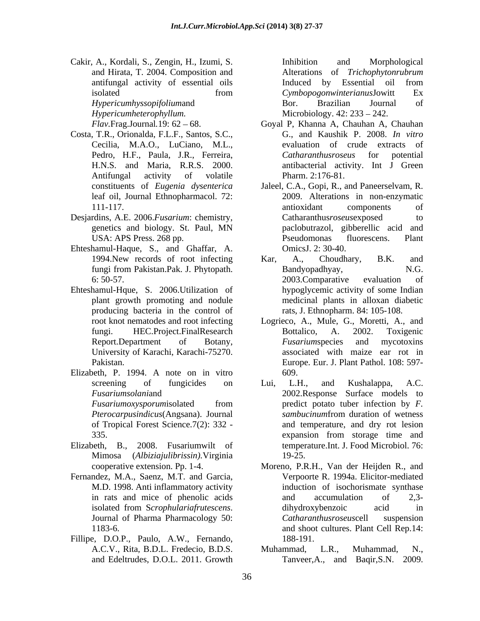Cakir, A., Kordali, S., Zengin, H., Izumi, S. and Hirata, T. 2004. Composition and antifungal activity of essential oils *Hypericumhyssopifolium*and *Hypericumheterophyllum.* Microbiology. 42: 233 – 242.

- Costa, T.R., Orionalda, F.L.F., Santos, S.C., Cecilia, M.A.O., LuCiano, M.L.,
- Desjardins, A.E. 2006.*Fusarium*: chemistry,
- Ehteshamul-Haque, S., and Ghaffar, A.
- Ehteshamul-Hque, S. 2006.Utilization of producing bacteria in the control of University of Karachi, Karachi-75270.
- Elizabeth, P. 1994. A note on in vitro

of Tropical Forest Science.7(2): 332 -

- Mimosa (*Albiziajulibrissin).*Virginia
- 
- Fillipe, D.O.P., Paulo, A.W., Fernando, 188-191.

isolated from the CymbopogonwinterianusJowitt Ex Inhibition and Morphological Alterations of *Trichophytonrubrum* Induced by Essential oil from *Cymbopogonwinterianus*Jowitt Ex Bor. Brazilian Journal of

- *Flav.Frag.Journal.19:* 62 68. Goyal P, Khanna A, Chauhan A, Chauhan Pedro, H.F., Paula, J.R., Ferreira, *Catharanthusroseus* for potential H.N.S. and Maria, R.R.S. 2000. antibacterial activity. Int J Green Antifungal activity of volatile Pharm. 2:176-81. G., and Kaushik P. 2008. *In vitro* evaluation of crude extracts of *Catharanthusroseus* for potential Pharm. 2:176-81.
- constituents of *Eugenia dysenterica* Jaleel, C.A., Gopi, R., and Paneerselvam, R. leaf oil, Journal Ethnopharmacol. 72: 2009. Alterations in non-enzymatic 111-117. antioxidant components of genetics and biology. St. Paul, MN USA: APS Press. 268 pp.  $\qquad \qquad$  Pseudomonas fluorescens. Plant antioxidant components of Catharanthus*roseus*exposed to paclobutrazol, gibberellic acid and Pseudomonas fluorescens. Plant OmicsJ. 2: 30-40.
- 1994.New records of root infecting Kar, A., Choudhary, B.K. and fungi from Pakistan.Pak. J. Phytopath. 6: 50-57. plant growth promoting and nodule medicinal plants in alloxan diabetic Kar, A., Choudhary, B.K. and Bandyopadhyay, N.G. 2003.Comparative evaluation of hypoglycemic activity of some Indian rats, J. Ethnopharm. 84: 105-108.
- root knot nematodes and root infecting Logrieco, A., Mule, G., Moretti, A., and fungi. HEC.Project.FinalResearch Report.Department of Botany, *Fusariumspecies* and mycotoxins Pakistan. Europe. Eur. J. Plant Pathol. 108: 597- Bottalico, A. 2002. Toxigenic *Fusarium*species and mycotoxins associated with maize ear rot in 609.
- screening of fungicides on Lui, L.H., and Kushalappa, A.C. *Fusariumsolani*and 2002.Response Surface models to *Fusariumoxysporumisolated* from predict potato tuber infection by *F*. *Pterocarpusindicus*(Angsana). Journal 335. The subset of the system of the system of the system of the system of the system of the system of the system of the system of the system of the system of the system of the system of the system of the system of the sys Elizabeth, B., 2008. Fusariumwilt of temperature.Int. J. Food Microbiol. 76: Lui, L.H., and Kushalappa, A.C. predict potato tuber infection by *F. sambucinum*from duration of wetness and temperature, and dry rot lesion expansion from storage time and 19-25.
- cooperative extension. Pp. 1-4. Moreno, P.R.H., Van der Heijden R., and Fernandez, M.A., Saenz, M.T. and Garcia, Verpoorte R. 1994a. Elicitor-mediated M.D. 1998. Anti inflammatory activity induction of isochorismate synthase in rats and mice of phenolic acids and accumulation of 2,3isolated from <sup>S</sup>*crophulariafrutescens*. Journal of Pharma Pharmacology 50: 1183-6. and shoot cultures. Plant Cell Rep.14: and accumulation of 2,3 dihydroxybenzoic acid in *Catharanthusroseus*cell suspension 188-191.
	- A.C.V., Rita, B.D.L. Fredecio, B.D.S. and Edeltrudes, D.O.L. 2011. Growth Tanveer,A., and Baqir,S.N. 2009.Muhammad, L.R., Muhammad, N.,